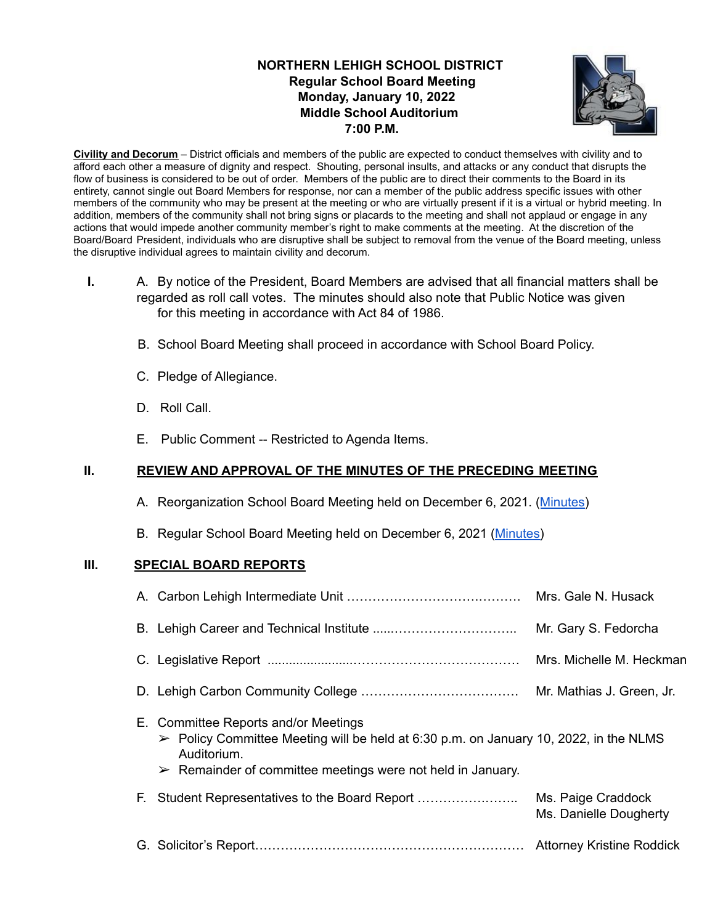# **NORTHERN LEHIGH SCHOOL DISTRICT Regular School Board Meeting Monday, January 10, 2022 Middle School Auditorium 7:00 P.M.**



**Civility and Decorum** – District officials and members of the public are expected to conduct themselves with civility and to afford each other a measure of dignity and respect. Shouting, personal insults, and attacks or any conduct that disrupts the flow of business is considered to be out of order. Members of the public are to direct their comments to the Board in its entirety, cannot single out Board Members for response, nor can a member of the public address specific issues with other members of the community who may be present at the meeting or who are virtually present if it is a virtual or hybrid meeting. In addition, members of the community shall not bring signs or placards to the meeting and shall not applaud or engage in any actions that would impede another community member's right to make comments at the meeting. At the discretion of the Board/Board President, individuals who are disruptive shall be subject to removal from the venue of the Board meeting, unless the disruptive individual agrees to maintain civility and decorum.

- **I.** A. By notice of the President, Board Members are advised that all financial matters shall be regarded as roll call votes. The minutes should also note that Public Notice was given for this meeting in accordance with Act 84 of 1986.
	- B. School Board Meeting shall proceed in accordance with School Board Policy.
	- C. Pledge of Allegiance.
	- D. Roll Call.
	- E. Public Comment -- Restricted to Agenda Items.

# **II. REVIEW AND APPROVAL OF THE MINUTES OF THE PRECEDING MEETING**

- A. Reorganization School Board Meeting held on December 6, 2021. ([Minutes](https://drive.google.com/file/d/15nz0IY8Tc-eUXkKuqAG8Z-JJ22xoh20F/view?usp=sharing))
- B. Regular School Board Meeting held on December 6, 2021 [\(Minutes\)](https://drive.google.com/file/d/11L0E-VihxHMdnljIyNVPbrssxyyL0QXe/view?usp=sharing)

## **III. SPECIAL BOARD REPORTS**

|                                                                                                                                                                                                                                           | Mrs. Gale N. Husack                          |
|-------------------------------------------------------------------------------------------------------------------------------------------------------------------------------------------------------------------------------------------|----------------------------------------------|
|                                                                                                                                                                                                                                           | Mr. Gary S. Fedorcha                         |
|                                                                                                                                                                                                                                           | Mrs. Michelle M. Heckman                     |
|                                                                                                                                                                                                                                           | Mr. Mathias J. Green, Jr.                    |
| E. Committee Reports and/or Meetings<br>$\triangleright$ Policy Committee Meeting will be held at 6:30 p.m. on January 10, 2022, in the NLMS<br>Auditorium.<br>$\triangleright$ Remainder of committee meetings were not held in January. |                                              |
| E.                                                                                                                                                                                                                                        | Ms. Paige Craddock<br>Ms. Danielle Dougherty |
|                                                                                                                                                                                                                                           | <b>Attorney Kristine Roddick</b>             |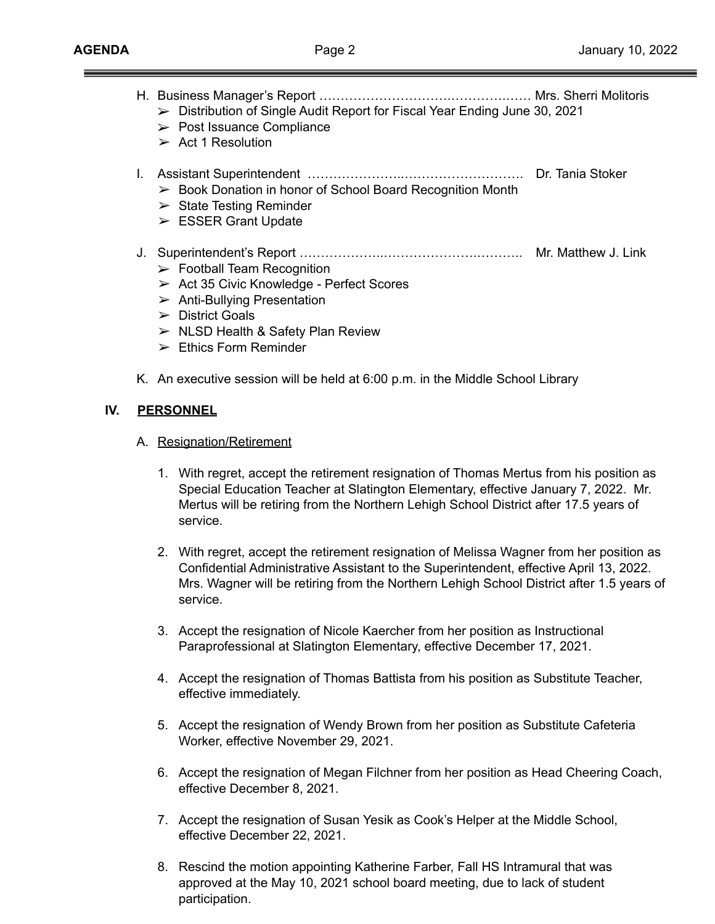|  | $\triangleright$ Distribution of Single Audit Report for Fiscal Year Ending June 30, 2021 |  |
|--|-------------------------------------------------------------------------------------------|--|
|  |                                                                                           |  |

- $\triangleright$  Post Issuance Compliance
- $\triangleright$  Act 1 Resolution
- I. Assistant Superintendent …………………..………………………. Dr. Tania Stoker
	- ➢ Book Donation in honor of School Board Recognition Month
	- $\triangleright$  State Testing Reminder
	- ➢ ESSER Grant Update
- J. Superintendent's Report ………………..………………….……….. Mr. Matthew J. Link
	- $\triangleright$  Football Team Recognition
	- ➢ Act 35 Civic Knowledge Perfect Scores
	- $\triangleright$  Anti-Bullying Presentation
	- $\triangleright$  District Goals
	- $\triangleright$  NLSD Health & Safety Plan Review
	- $\triangleright$  Ethics Form Reminder
- K. An executive session will be held at 6:00 p.m. in the Middle School Library

## **IV. PERSONNEL**

- A. Resignation/Retirement
	- 1. With regret, accept the retirement resignation of Thomas Mertus from his position as Special Education Teacher at Slatington Elementary, effective January 7, 2022. Mr. Mertus will be retiring from the Northern Lehigh School District after 17.5 years of service.
	- 2. With regret, accept the retirement resignation of Melissa Wagner from her position as Confidential Administrative Assistant to the Superintendent, effective April 13, 2022. Mrs. Wagner will be retiring from the Northern Lehigh School District after 1.5 years of service.
	- 3. Accept the resignation of Nicole Kaercher from her position as Instructional Paraprofessional at Slatington Elementary, effective December 17, 2021.
	- 4. Accept the resignation of Thomas Battista from his position as Substitute Teacher, effective immediately.
	- 5. Accept the resignation of Wendy Brown from her position as Substitute Cafeteria Worker, effective November 29, 2021.
	- 6. Accept the resignation of Megan Filchner from her position as Head Cheering Coach, effective December 8, 2021.
	- 7. Accept the resignation of Susan Yesik as Cook's Helper at the Middle School, effective December 22, 2021.
	- 8. Rescind the motion appointing Katherine Farber, Fall HS Intramural that was approved at the May 10, 2021 school board meeting, due to lack of student participation.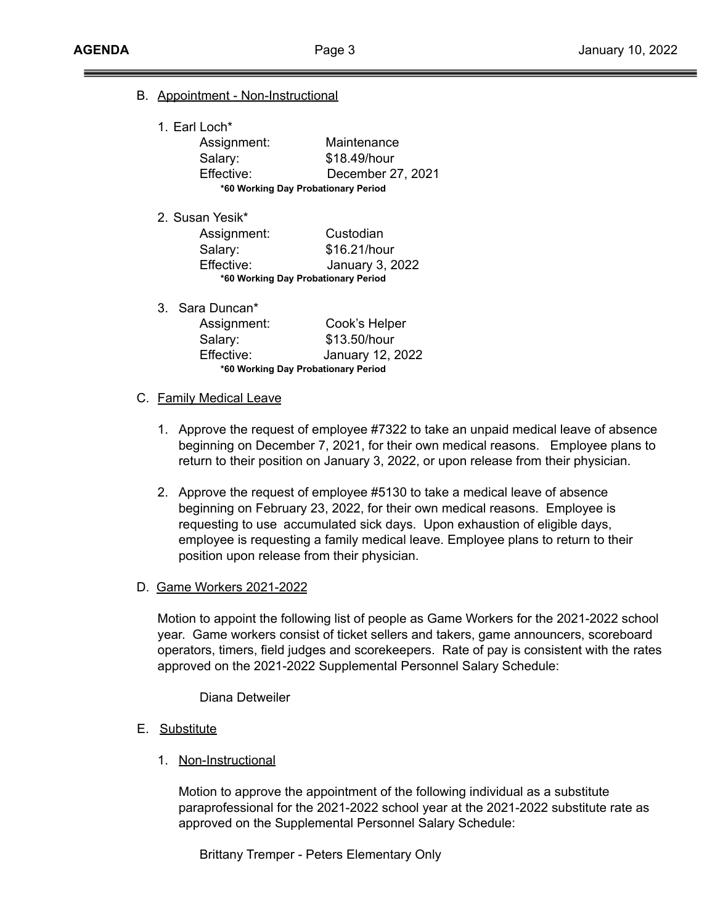- B. Appointment Non-Instructional
	- 1. Earl Loch\* Assignment: Maintenance Salary: \$18.49/hour Effective: December 27, 2021 **\*60 Working Day Probationary Period**
	- 2. Susan Yesik\*

| Assignment:                         | Custodian       |  |  |  |
|-------------------------------------|-----------------|--|--|--|
| Salary:                             | \$16.21/hour    |  |  |  |
| Effective:                          | January 3, 2022 |  |  |  |
| *60 Working Day Probationary Period |                 |  |  |  |

3. Sara Duncan\* Assignment: Cook's Helper Salary: \$13.50/hour Effective: January 12, 2022 **\*60 Working Day Probationary Period**

### C. Family Medical Leave

- 1. Approve the request of employee #7322 to take an unpaid medical leave of absence beginning on December 7, 2021, for their own medical reasons. Employee plans to return to their position on January 3, 2022, or upon release from their physician.
- 2. Approve the request of employee #5130 to take a medical leave of absence beginning on February 23, 2022, for their own medical reasons. Employee is requesting to use accumulated sick days. Upon exhaustion of eligible days, employee is requesting a family medical leave. Employee plans to return to their position upon release from their physician.

## D. Game Workers 2021-2022

Motion to appoint the following list of people as Game Workers for the 2021-2022 school year. Game workers consist of ticket sellers and takers, game announcers, scoreboard operators, timers, field judges and scorekeepers. Rate of pay is consistent with the rates approved on the 2021-2022 Supplemental Personnel Salary Schedule:

Diana Detweiler

- E. Substitute
	- 1. Non-Instructional

Motion to approve the appointment of the following individual as a substitute paraprofessional for the 2021-2022 school year at the 2021-2022 substitute rate as approved on the Supplemental Personnel Salary Schedule:

Brittany Tremper - Peters Elementary Only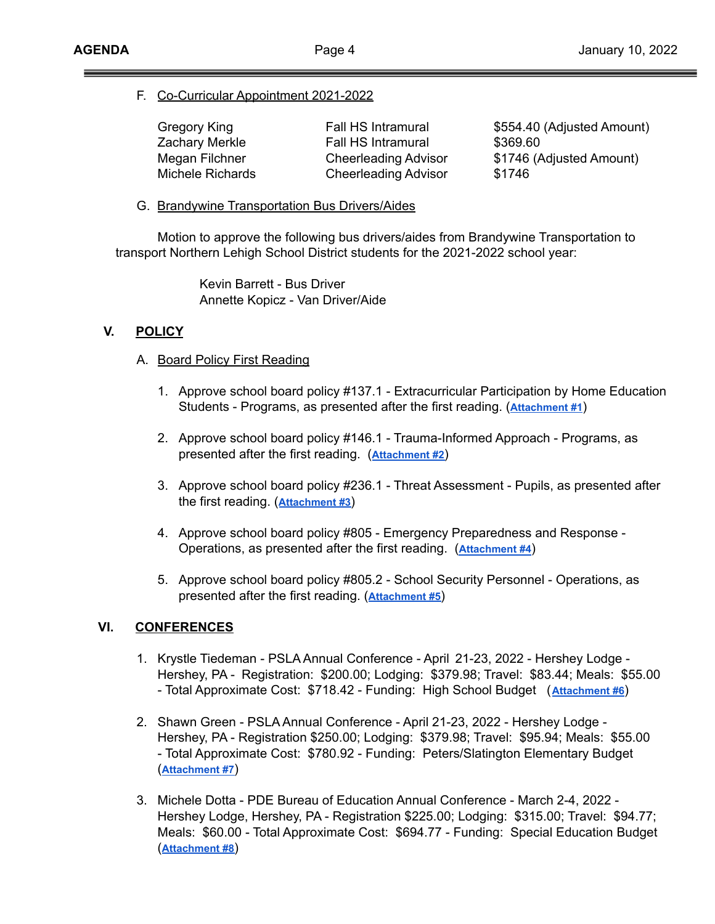F. Co-Curricular Appointment 2021-2022

| Gregory King     | Fall HS Intramural          | \$554.40 (Adjusted Amount) |
|------------------|-----------------------------|----------------------------|
| Zachary Merkle   | Fall HS Intramural          | \$369.60                   |
| Megan Filchner   | <b>Cheerleading Advisor</b> | \$1746 (Adjusted Amount)   |
| Michele Richards | <b>Cheerleading Advisor</b> | \$1746                     |

G. Brandywine Transportation Bus Drivers/Aides

Motion to approve the following bus drivers/aides from Brandywine Transportation to transport Northern Lehigh School District students for the 2021-2022 school year:

> Kevin Barrett - Bus Driver Annette Kopicz - Van Driver/Aide

# **V. POLICY**

- A. Board Policy First Reading
	- 1. Approve school board policy #137.1 Extracurricular Participation by Home Education Students - Programs, as presented after the first reading. (**[Attachment #1](https://drive.google.com/file/d/1CAysk-zqygc20ubvR8ua-QEmPs-yaFoA/view?usp=sharing)**)
	- 2. Approve school board policy #146.1 Trauma-Informed Approach Programs, as presented after the first reading. (**[Attachment](https://drive.google.com/file/d/13YXPG933wYH2AKS4FHnNUXb58rq8v7WN/view?usp=sharing) #2**)
	- 3. Approve school board policy #236.1 Threat Assessment Pupils, as presented after the first reading. (**[Attachment #3](https://drive.google.com/file/d/19JugcJ796q-f2SX1J678_8nWdM6RzCn5/view?usp=sharing)**)
	- 4. Approve school board policy #805 Emergency Preparedness and Response Operations, as presented after the first reading. (**[Attachment #4](https://drive.google.com/file/d/1CWgOn2p13wVG38xDr2TXVjTHeNLlxnxp/view?usp=sharing)**)
	- 5. Approve school board policy #805.2 School Security Personnel Operations, as presented after the first reading. (**[Attachment #5](https://drive.google.com/file/d/1Gj8IQWx8jdwbPjtQ0Mu52VBwotgHyUi_/view?usp=sharing)**)

## **VI. CONFERENCES**

- 1. Krystle Tiedeman PSLA Annual Conference April 21-23, 2022 Hershey Lodge Hershey, PA - Registration: \$200.00; Lodging: \$379.98; Travel: \$83.44; Meals: \$55.00 - Total Approximate Cost: \$718.42 - Funding: High School Budget (**[Attachment #6](https://drive.google.com/file/d/1TyPMF2SppSebpLPnkzRB8IevuMNSQYBD/view?usp=sharing)**)
- 2. Shawn Green PSLA Annual Conference April 21-23, 2022 Hershey Lodge Hershey, PA - Registration \$250.00; Lodging: \$379.98; Travel: \$95.94; Meals: \$55.00 - Total Approximate Cost: \$780.92 - Funding: Peters/Slatington Elementary Budget (**[Attachment #7](https://drive.google.com/file/d/128ZCJaLnBp8ABlcYeR8cayC0OVI5MU-G/view?usp=sharing)**)
- 3. Michele Dotta PDE Bureau of Education Annual Conference March 2-4, 2022 Hershey Lodge, Hershey, PA - Registration \$225.00; Lodging: \$315.00; Travel: \$94.77; Meals: \$60.00 - Total Approximate Cost: \$694.77 - Funding: Special Education Budget (**[Attachment #8](https://drive.google.com/file/d/1bvLdgWaxZIkbXiMcu9F22vGfy9arQ4Sw/view?usp=sharing)**)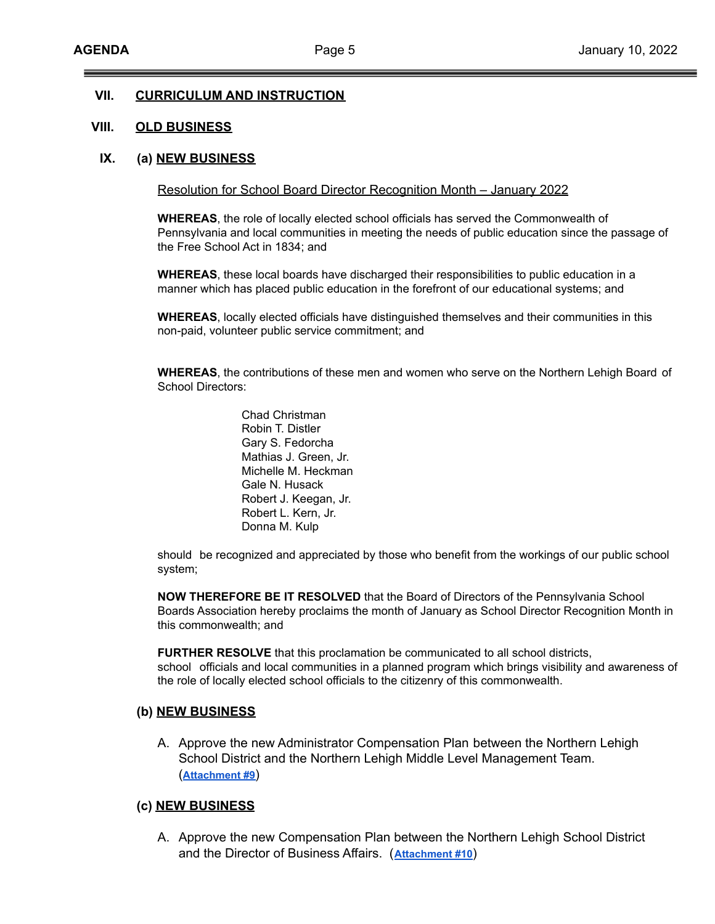### **VII. CURRICULUM AND INSTRUCTION**

### **VIII. OLD BUSINESS**

### **IX. (a) NEW BUSINESS**

#### Resolution for School Board Director Recognition Month – January 2022

**WHEREAS**, the role of locally elected school officials has served the Commonwealth of Pennsylvania and local communities in meeting the needs of public education since the passage of the Free School Act in 1834; and

**WHEREAS**, these local boards have discharged their responsibilities to public education in a manner which has placed public education in the forefront of our educational systems; and

**WHEREAS**, locally elected officials have distinguished themselves and their communities in this non-paid, volunteer public service commitment; and

**WHEREAS**, the contributions of these men and women who serve on the Northern Lehigh Board of School Directors:

> Chad Christman Robin T. Distler Gary S. Fedorcha Mathias J. Green, Jr. Michelle M. Heckman Gale N. Husack Robert J. Keegan, Jr. Robert L. Kern, Jr. Donna M. Kulp

should be recognized and appreciated by those who benefit from the workings of our public school system;

**NOW THEREFORE BE IT RESOLVED** that the Board of Directors of the Pennsylvania School Boards Association hereby proclaims the month of January as School Director Recognition Month in this commonwealth; and

**FURTHER RESOLVE** that this proclamation be communicated to all school districts, school officials and local communities in a planned program which brings visibility and awareness of the role of locally elected school officials to the citizenry of this commonwealth.

#### **(b) NEW BUSINESS**

A. Approve the new Administrator Compensation Plan between the Northern Lehigh School District and the Northern Lehigh Middle Level Management Team. (**[Attachment #9](https://drive.google.com/file/d/11CnWP6i4w6XUgwNqz7D4qfr7eTkkdtK3/view?usp=sharing)**)

#### **(c) NEW BUSINESS**

A. Approve the new Compensation Plan between the Northern Lehigh School District and the Director of Business Affairs. (**[Attachment](https://drive.google.com/file/d/1PBBgzpkFairmdpcuP8wb_YgoKCaDdb-A/view?usp=sharing) #10**)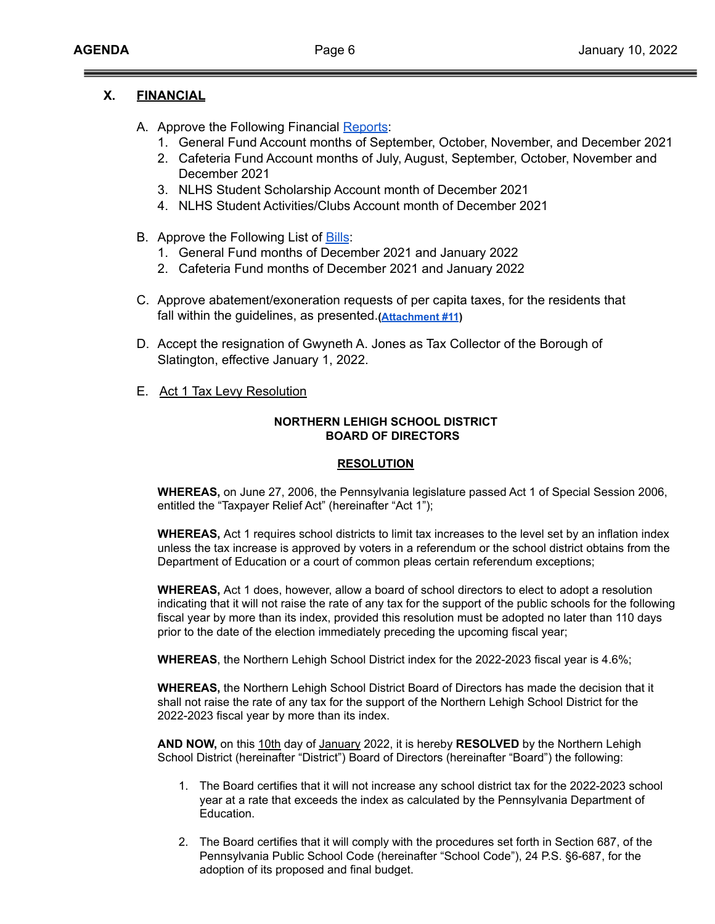## **X. FINANCIAL**

- A. Approve the Following Financial [Reports](https://drive.google.com/file/d/12dGP6gfSGF-L-8-R6z5O2kwMG5O_xg_6/view?usp=sharing):
	- 1. General Fund Account months of September, October, November, and December 2021
	- 2. Cafeteria Fund Account months of July, August, September, October, November and December 2021
	- 3. NLHS Student Scholarship Account month of December 2021
	- 4. NLHS Student Activities/Clubs Account month of December 2021
- B. Approve the Following List of [Bills](https://drive.google.com/file/d/1yquuDLEl2aM2L-CwIYZ50Z8gQ2WNjoZw/view?usp=sharing):
	- 1. General Fund months of December 2021 and January 2022
	- 2. Cafeteria Fund months of December 2021 and January 2022
- C. Approve abatement/exoneration requests of per capita taxes, for the residents that fall within the guidelines, as presented.**([Attachment](https://drive.google.com/file/d/18aLJ1SfYF0HcNDv1z3nNTV-zTRc2fw4B/view?usp=sharing) #11)**
- D. Accept the resignation of Gwyneth A. Jones as Tax Collector of the Borough of Slatington, effective January 1, 2022.
- E. Act 1 Tax Levy Resolution

### **NORTHERN LEHIGH SCHOOL DISTRICT BOARD OF DIRECTORS**

### **RESOLUTION**

**WHEREAS,** on June 27, 2006, the Pennsylvania legislature passed Act 1 of Special Session 2006, entitled the "Taxpayer Relief Act" (hereinafter "Act 1");

**WHEREAS,** Act 1 requires school districts to limit tax increases to the level set by an inflation index unless the tax increase is approved by voters in a referendum or the school district obtains from the Department of Education or a court of common pleas certain referendum exceptions;

**WHEREAS,** Act 1 does, however, allow a board of school directors to elect to adopt a resolution indicating that it will not raise the rate of any tax for the support of the public schools for the following fiscal year by more than its index, provided this resolution must be adopted no later than 110 days prior to the date of the election immediately preceding the upcoming fiscal year;

**WHEREAS**, the Northern Lehigh School District index for the 2022-2023 fiscal year is 4.6%;

**WHEREAS,** the Northern Lehigh School District Board of Directors has made the decision that it shall not raise the rate of any tax for the support of the Northern Lehigh School District for the 2022-2023 fiscal year by more than its index.

**AND NOW,** on this 10th day of January 2022, it is hereby **RESOLVED** by the Northern Lehigh School District (hereinafter "District") Board of Directors (hereinafter "Board") the following:

- 1. The Board certifies that it will not increase any school district tax for the 2022-2023 school year at a rate that exceeds the index as calculated by the Pennsylvania Department of Education.
- 2. The Board certifies that it will comply with the procedures set forth in Section 687, of the Pennsylvania Public School Code (hereinafter "School Code"), 24 P.S. §6-687, for the adoption of its proposed and final budget.